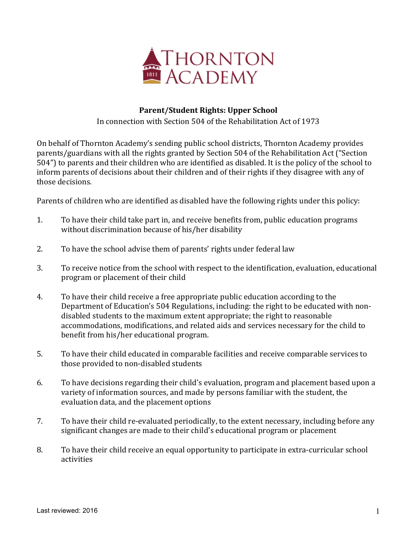

## **Parent/Student Rights: Upper School**

In connection with Section 504 of the Rehabilitation Act of 1973

On behalf of Thornton Academy's sending public school districts, Thornton Academy provides parents/guardians with all the rights granted by Section 504 of the Rehabilitation Act ("Section 504") to parents and their children who are identified as disabled. It is the policy of the school to inform parents of decisions about their children and of their rights if they disagree with any of those decisions.

Parents of children who are identified as disabled have the following rights under this policy:

- 1. To have their child take part in, and receive benefits from, public education programs without discrimination because of his/her disability
- 2. To have the school advise them of parents' rights under federal law
- 3. To receive notice from the school with respect to the identification, evaluation, educational program or placement of their child
- 4. To have their child receive a free appropriate public education according to the Department of Education's 504 Regulations, including: the right to be educated with nondisabled students to the maximum extent appropriate; the right to reasonable accommodations, modifications, and related aids and services necessary for the child to benefit from his/her educational program.
- 5. To have their child educated in comparable facilities and receive comparable services to those provided to non-disabled students
- 6. To have decisions regarding their child's evaluation, program and placement based upon a variety of information sources, and made by persons familiar with the student, the evaluation data, and the placement options
- 7. To have their child re-evaluated periodically, to the extent necessary, including before any significant changes are made to their child's educational program or placement
- 8. To have their child receive an equal opportunity to participate in extra-curricular school activities